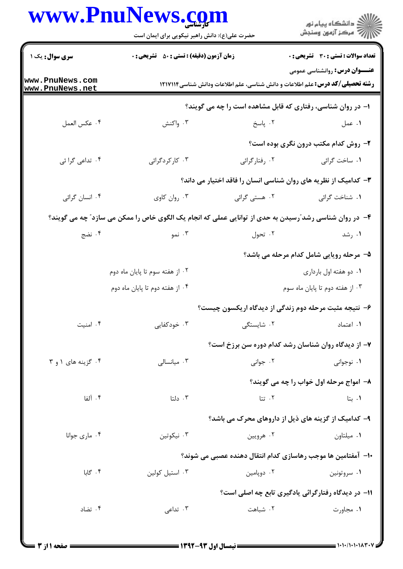## www.PnuNews.com

|                                    | www.PnuNews.com<br>حضرت علی(ع): دانش راهبر نیکویی برای ایمان است                                        |               | ڪ دانشڪاه پيا <sub>م</sub> نور<br>۾ سرڪز آزمون وسنڊش            |  |  |
|------------------------------------|---------------------------------------------------------------------------------------------------------|---------------|-----------------------------------------------------------------|--|--|
| <b>سری سوال :</b> یک ۱             | <b>زمان آزمون (دقیقه) : تستی : 50 ٪ تشریحی : 0</b>                                                      |               | <b>تعداد سوالات : تستی : 30 - تشریحی : 0</b>                    |  |  |
| www.PnuNews.com<br>www.PnuNews.net | <b>رشته تحصیلی/کد درس:</b> علم اطلاعات و دانش شناسی، علم اطلاعات ودانش شناسی۱۲۱۷۱۱۴                     |               | <b>عنـــوان درس:</b> روانشناسی عمومی                            |  |  |
|                                    | ۱- در روان شناسی، رفتاری که قابل مشاهده است را چه می گویند؟                                             |               |                                                                 |  |  |
| ۰۴ عكس العمل                       | ۰۳ واکنش                                                                                                | ۰۲ پاسخ       | ۰۱ عمل                                                          |  |  |
|                                    |                                                                                                         |               | ۲- روش کدام مکتب درون نگری بوده است؟                            |  |  |
| ۰۴ تداعی گرا ئی                    | ۰۳ کارکردگرائی                                                                                          | ۰۲ رفتارگرائی | <b>۱</b> . ساخت گرائی                                           |  |  |
|                                    |                                                                                                         |               | ۳- کدامیک از نظریه های روان شناسی انسان را فاقد اختیار می داند؟ |  |  |
| ۰۴ انسان گرائی                     | ۰۳ روان کاوی                                                                                            | ۰۲ هستی گرائی | ٠١ شناخت گرائي                                                  |  |  |
|                                    | ۴- در روان شناسی رشد ّرسیدن به حدی از توانایی عملی که انجام یک الگوی خاص را ممکن می سازد ّ چه می گویند؟ |               |                                                                 |  |  |
| ۰۴ نضج                             | ۰۳ نمو                                                                                                  | ۰۲ تحول       | ۰۱ رشد                                                          |  |  |
|                                    |                                                                                                         |               | ۵– مرحله رویایی شامل کدام مرحله می باشد؟                        |  |  |
|                                    | ۰۲ از هفته سوم تا پایان ماه دوم                                                                         |               | ٠١ دو هفته اول بارداري                                          |  |  |
|                                    | ۰۴ از هفته دوم تا پایان ماه دوم                                                                         |               | ۰۳ از هفته دوم تا پایان ماه سوم                                 |  |  |
|                                    |                                                                                                         |               | ۶– نتیجه مثبت مرحله دوم زندگی از دیدگاه اریکسون چیست؟           |  |  |
| ۰۴ امنیت                           | ۰۳ خودکفایی                                                                                             | ۰۲ شایستگی    | ۰۱ اعتماد                                                       |  |  |
|                                    |                                                                                                         |               | ۷- از دیدگاه روان شناسان رشد کدام دوره سن برزخ است؟             |  |  |
| ۰۴ گزینه های ۱ و ۳                 | ۰۳ میانسالی                                                                                             | ۰۲ جوانی      | ۰۱ نوجوانی                                                      |  |  |
|                                    |                                                                                                         |               | ۸– امواج مرحله اول خواب را چه می گویند؟                         |  |  |
| ۰۴ آلفا                            | ۰۳ دلتا                                                                                                 | ۰۲ تتا        | ۰۱. بتا                                                         |  |  |
|                                    |                                                                                                         |               | ۹- کدامیک از گزینه های ذیل از داروهای محرک می باشد؟             |  |  |
| ۰۴ ماری جوانا                      | ۰۳ نیکوتین                                                                                              | ۰۲ هرويين     | ۰۱ میلتاون                                                      |  |  |
|                                    |                                                                                                         |               | ∙ا− آمفتامین ها موجب رهاسازی کدام انتقال دهنده عصبی می شوند؟    |  |  |
| ۰۴ گابا                            | ۰۳ استیل کولین                                                                                          | ۰۲ دوپامين    | ۰۱ سروتونين                                                     |  |  |
|                                    |                                                                                                         |               | 11- در دیدگاه رفتارگرائی یادگیری تابع چه اصلی است؟              |  |  |
| ۰۴ تضاد                            | ۰۳ تداعی                                                                                                | ۰۲ شباهت      | ۰۱ مجاورت                                                       |  |  |
|                                    |                                                                                                         |               |                                                                 |  |  |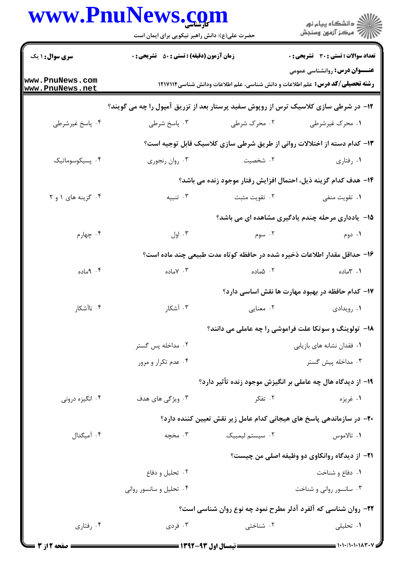## www.PnuNews.com

|                                  | www.PnuNews.com<br>حضرت علی(ع): دانش راهبر نیکویی برای ایمان است                    |                 | ڪ دانشڪاه پيا <sub>م</sub> نور<br>ر <i>7</i> مرڪز آزمون وسنڊش                                                               |  |
|----------------------------------|-------------------------------------------------------------------------------------|-----------------|-----------------------------------------------------------------------------------------------------------------------------|--|
| <b>سری سوال :</b> ۱ یک           | <b>زمان آزمون (دقیقه) : تستی : 50 ٪ تشریحی : 0</b>                                  |                 | <b>تعداد سوالات : تستي : 30 ٪ تشريحي : 0</b>                                                                                |  |
| ww.PnuNews.com<br>ww.PnuNews.net |                                                                                     |                 | <b>عنـــوان درس:</b> روانشناسی عمومی<br><b>رشته تحصیلی/کد درس:</b> علم اطلاعات و دانش شناسی، علم اطلاعات ودانش شناسی۱۲۱۷۱۱۴ |  |
|                                  | ۱۲- در شرطی سازی کلاسیک ترس از روپوش سفید پرستار بعد از تزریق آمپول را چه می گویند؟ |                 |                                                                                                                             |  |
| ۰۴ پاسخ غیرشرطی                  | ۰۳ پاسخ شرطی                                                                        | ۰۲ محرک شرطی    | ۰۱ محرک غیرشرطی                                                                                                             |  |
|                                  |                                                                                     |                 | ۱۳- کدام دسته از اختلالات روانی از طریق شرطی سازی کلاسیک قابل توجیه است؟                                                    |  |
| ۰۴ پسیکوسوماتیک                  | ۰۳ روان رنجوري                                                                      | ۰۲ شخصیت        | ۰۱ رفتاری                                                                                                                   |  |
|                                  |                                                                                     |                 | ۱۴- هدف کدام گزینه ذیل، احتمال افزایش رفتار موجود زنده می باشد؟                                                             |  |
| ۰۴ گزینه های ۱ و ۲               | ۰۳ تنبیه                                                                            | ۰۲ تقویت مثبت   | ۰۱ تقويت منفي                                                                                                               |  |
|                                  |                                                                                     |                 | <b>۱۵</b> - یادداری مرحله چندم یادگیری مشاهده ای می باشد؟                                                                   |  |
| ۰۴ چهارم                         | ۰۳ اول                                                                              | ۰۲ سوم          | ۰۱ دوم                                                                                                                      |  |
|                                  | ۱۶– حداقل مقدار اطلاعات ذخیره شده در حافظه کوتاه مدت طبیعی چند ماده است؟            |                 |                                                                                                                             |  |
| ۰۴ ماده                          | ۰۳ کاماده                                                                           | ۰۲ ۱ماده        | ۰۱ ۳ماده                                                                                                                    |  |
|                                  |                                                                                     |                 | ۱۷– کدام حافظه در بهبود مهارت ها نقش اساسی دارد؟                                                                            |  |
| ۰۴ ناآشکار                       | ۰۳ آشکار                                                                            | ۰۲ معنایی       | ۰۱ رویدادی                                                                                                                  |  |
|                                  | <b>۱۸- تولوینگ و سوتکا علت فراموشی را چه عاملی می دانند؟</b>                        |                 |                                                                                                                             |  |
|                                  | ۰۲ مداخله پس گستر                                                                   |                 | ۰۱ فقدان نشانه های بازیابی                                                                                                  |  |
|                                  | ۰۴ عدم تکرار و مرور                                                                 |                 | ۰۳ مداخله پیش گستر                                                                                                          |  |
|                                  |                                                                                     |                 | ۱۹- از دیدگاه هال چه عاملی بر انگیزش موجود زنده تأثیر دارد؟                                                                 |  |
| ۰۴ انگیزه درونی                  | ۰۳ ویژگی های هدف                                                                    | ۰۲ تفکر         | ۰۱ غريزه                                                                                                                    |  |
|                                  | ۲۰– در سازماندهی پاسخ های هیجانی کدام عامل زیر نقش تعیین کننده دارد؟                |                 |                                                                                                                             |  |
| ۰۴ آمیگدال                       | ۰۳ مخچه                                                                             | ۰۲ سیستم لیمبیک | ۰۱ تالاموس                                                                                                                  |  |
|                                  | <b>۲۱</b> - از دیدگاه روانکاوی دو وظیفه اصلی من چیست؟                               |                 |                                                                                                                             |  |
|                                  | ۰۲ تحلیل و دفاع                                                                     |                 | ۰۱ دفاع و شناخت                                                                                                             |  |
|                                  | ۰۴ تحلیل و سانسور روانی                                                             |                 | ۰۳ سانسور روانی و شناخت                                                                                                     |  |
|                                  |                                                                                     |                 | ۲۲- روان شناسی که آلفرد آدلر مطرح نمود چه نوع روان شناسی است؟                                                               |  |
| ۰۴ رفتاری                        | ۰۳ فردی                                                                             | ۰۲ شناختی       | ۰۱ تحلیلی                                                                                                                   |  |